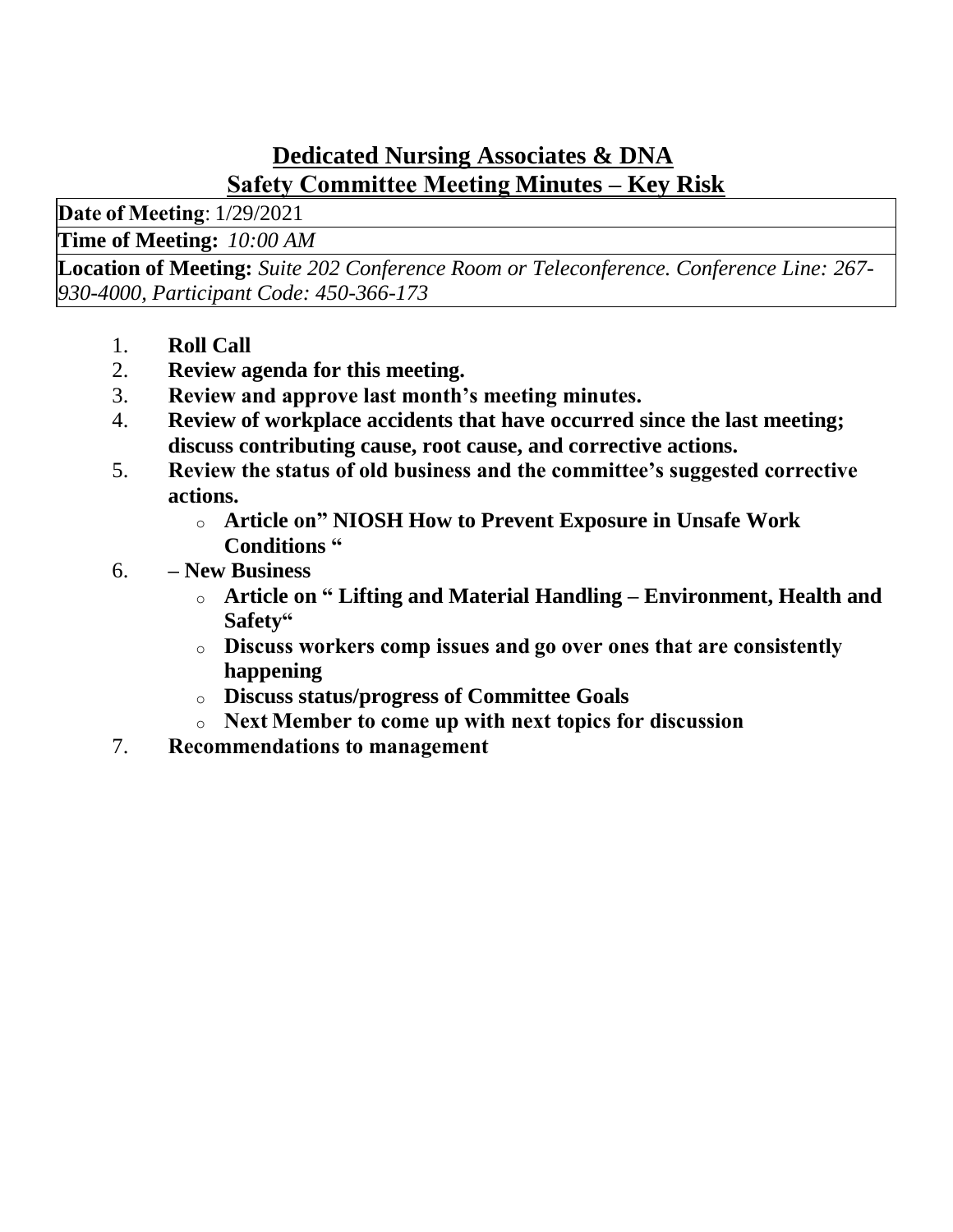## **Dedicated Nursing Associates & DNA Safety Committee Meeting Minutes – Key Risk**

**Date of Meeting**: 1/29/2021

**Time of Meeting:***10:00 AM*

**Location of Meeting:** *Suite 202 Conference Room or Teleconference. Conference Line: 267- 930-4000, Participant Code: 450-366-173*

- 1. **Roll Call**
- 2. **Review agenda for this meeting.**
- 3. **Review and approve last month's meeting minutes.**
- 4. **Review of workplace accidents that have occurred since the last meeting; discuss contributing cause, root cause, and corrective actions.**
- 5. **Review the status of old business and the committee's suggested corrective actions.**
	- o **Article on" NIOSH How to Prevent Exposure in Unsafe Work Conditions "**
- 6. **– New Business**
	- o **Article on " Lifting and Material Handling – Environment, Health and Safety"**
	- o **Discuss workers comp issues and go over ones that are consistently happening**
	- o **Discuss status/progress of Committee Goals**
	- o **Next Member to come up with next topics for discussion**
- 7. **Recommendations to management**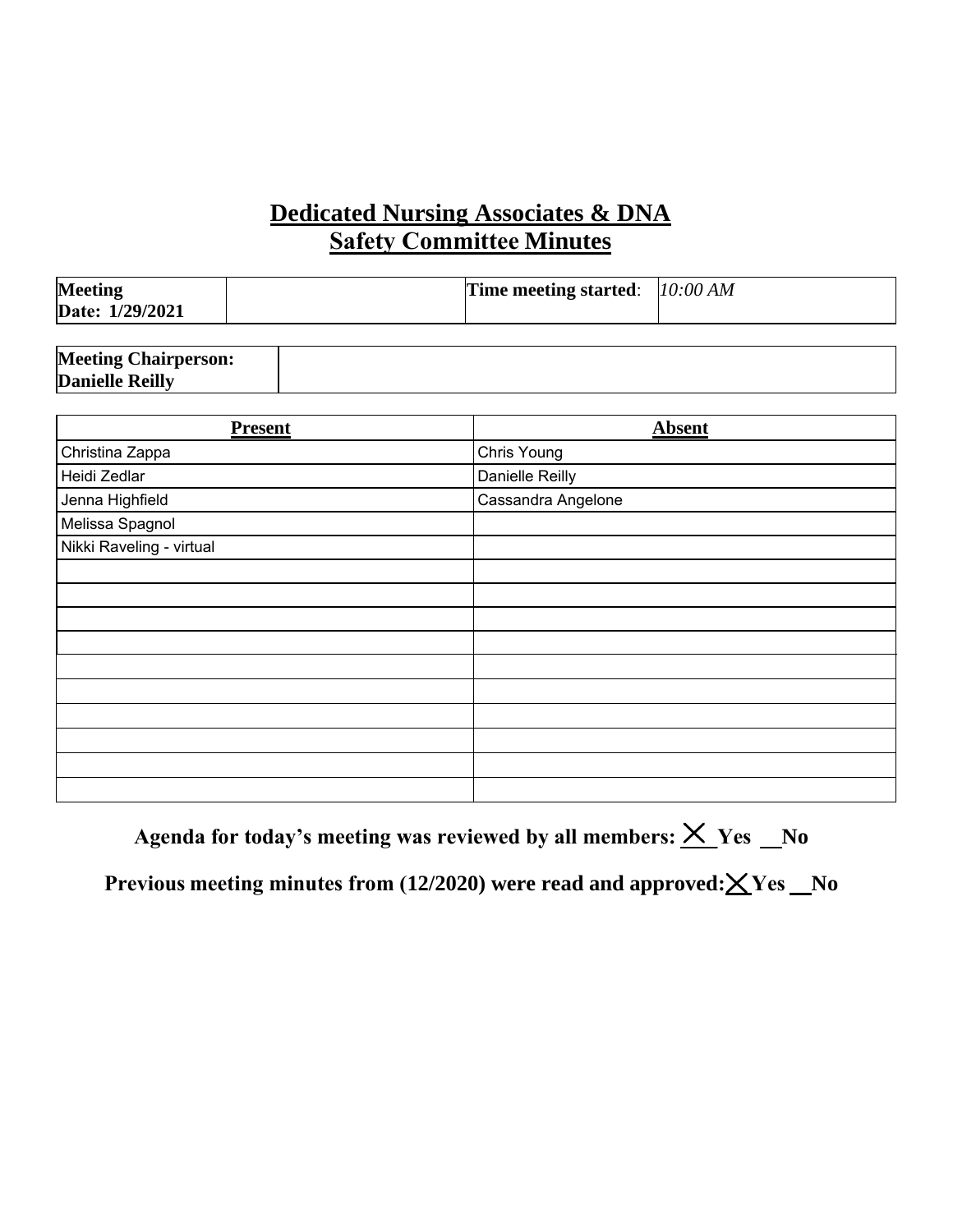## **Dedicated Nursing Associates & DNA Safety Committee Minutes**

| <b>Meeting</b>  | <b>Time meeting started:</b> $10:00 AM$ |  |
|-----------------|-----------------------------------------|--|
| Date: 1/29/2021 |                                         |  |

| <b>Meeting Chairperson:</b> |  |
|-----------------------------|--|
| <b>Danielle Reilly</b>      |  |

| <b>Present</b>           | <b>Absent</b>      |
|--------------------------|--------------------|
| Christina Zappa          | Chris Young        |
| Heidi Zedlar             | Danielle Reilly    |
| Jenna Highfield          | Cassandra Angelone |
| Melissa Spagnol          |                    |
| Nikki Raveling - virtual |                    |
|                          |                    |
|                          |                    |
|                          |                    |
|                          |                    |
|                          |                    |
|                          |                    |
|                          |                    |
|                          |                    |
|                          |                    |
|                          |                    |

Agenda for today's meeting was reviewed by all members:  $\times$  Yes \_No

Previous meeting minutes from (12/2020) were read and approved: ${\times}$ Yes \_No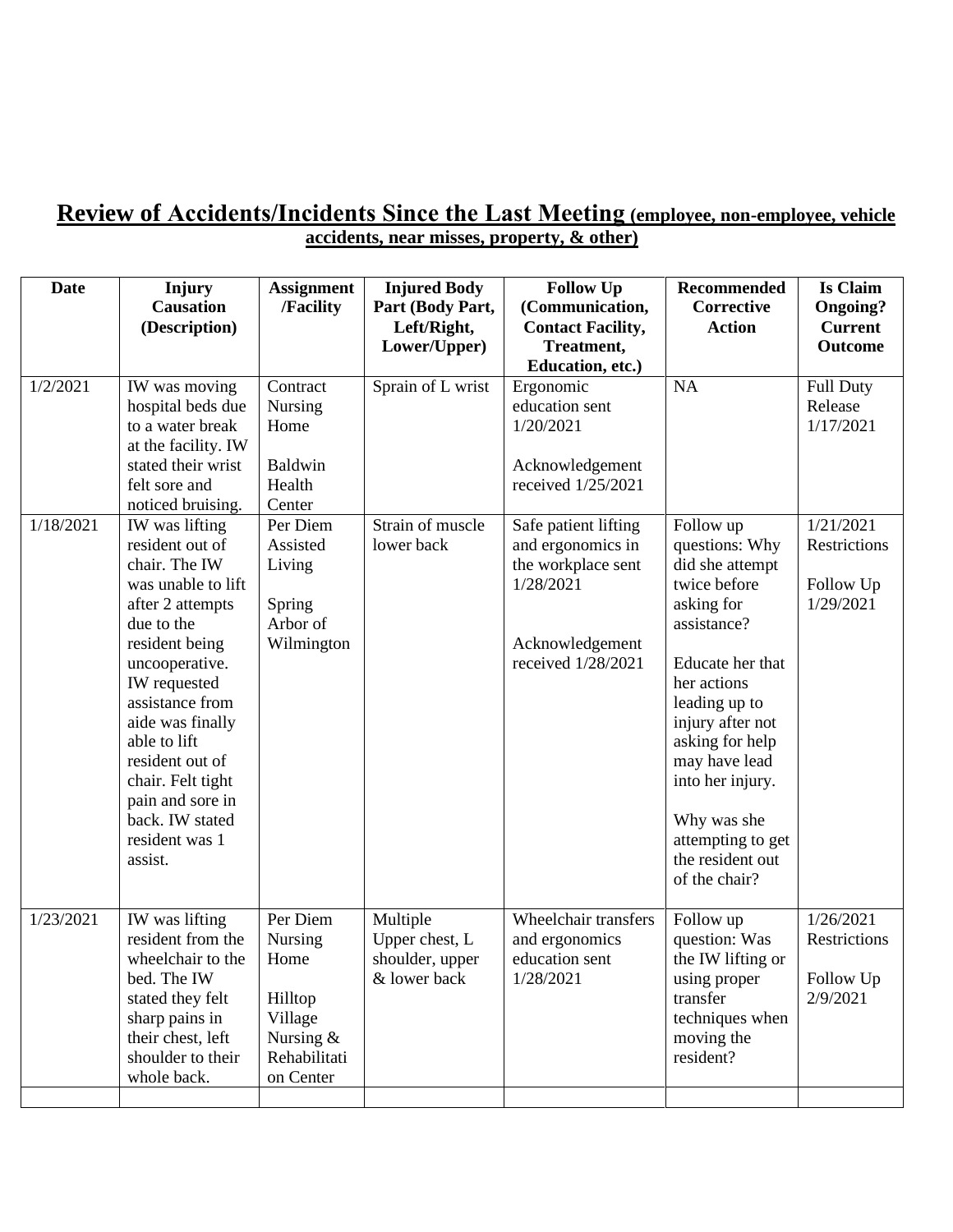#### **Review of Accidents/Incidents Since the Last Meeting (employee, non-employee, vehicle accidents, near misses, property, & other)**

| <b>Date</b>           | Injury<br><b>Causation</b><br>(Description)                                                                                                                                                                                                                                                                     | <b>Assignment</b><br>/Facility                                                              | <b>Injured Body</b><br>Part (Body Part,<br>Left/Right,<br>Lower/Upper) | <b>Follow Up</b><br>(Communication,<br><b>Contact Facility,</b><br>Treatment,<br>Education, etc.)         | <b>Recommended</b><br>Corrective<br><b>Action</b>                                                                                                                                                                                                                                       | <b>Is Claim</b><br><b>Ongoing?</b><br><b>Current</b><br>Outcome |
|-----------------------|-----------------------------------------------------------------------------------------------------------------------------------------------------------------------------------------------------------------------------------------------------------------------------------------------------------------|---------------------------------------------------------------------------------------------|------------------------------------------------------------------------|-----------------------------------------------------------------------------------------------------------|-----------------------------------------------------------------------------------------------------------------------------------------------------------------------------------------------------------------------------------------------------------------------------------------|-----------------------------------------------------------------|
| 1/2/2021<br>1/18/2021 | IW was moving<br>hospital beds due<br>to a water break<br>at the facility. IW<br>stated their wrist<br>felt sore and<br>noticed bruising.<br>IW was lifting                                                                                                                                                     | Contract<br>Nursing<br>Home<br><b>Baldwin</b><br>Health<br>Center<br>Per Diem               | Sprain of L wrist<br>Strain of muscle                                  | Ergonomic<br>education sent<br>1/20/2021<br>Acknowledgement<br>received 1/25/2021<br>Safe patient lifting | <b>NA</b><br>Follow up                                                                                                                                                                                                                                                                  | <b>Full Duty</b><br>Release<br>1/17/2021<br>1/21/2021           |
|                       | resident out of<br>chair. The IW<br>was unable to lift<br>after 2 attempts<br>due to the<br>resident being<br>uncooperative.<br>IW requested<br>assistance from<br>aide was finally<br>able to lift<br>resident out of<br>chair. Felt tight<br>pain and sore in<br>back. IW stated<br>resident was 1<br>assist. | Assisted<br>Living<br>Spring<br>Arbor of<br>Wilmington                                      | lower back                                                             | and ergonomics in<br>the workplace sent<br>1/28/2021<br>Acknowledgement<br>received 1/28/2021             | questions: Why<br>did she attempt<br>twice before<br>asking for<br>assistance?<br>Educate her that<br>her actions<br>leading up to<br>injury after not<br>asking for help<br>may have lead<br>into her injury.<br>Why was she<br>attempting to get<br>the resident out<br>of the chair? | Restrictions<br>Follow Up<br>1/29/2021                          |
| 1/23/2021             | IW was lifting<br>resident from the<br>wheelchair to the<br>bed. The IW<br>stated they felt<br>sharp pains in<br>their chest, left<br>shoulder to their<br>whole back.                                                                                                                                          | Per Diem<br>Nursing<br>Home<br>Hilltop<br>Village<br>Nursing &<br>Rehabilitati<br>on Center | Multiple<br>Upper chest, L<br>shoulder, upper<br>& lower back          | Wheelchair transfers<br>and ergonomics<br>education sent<br>1/28/2021                                     | Follow up<br>question: Was<br>the IW lifting or<br>using proper<br>transfer<br>techniques when<br>moving the<br>resident?                                                                                                                                                               | 1/26/2021<br>Restrictions<br>Follow Up<br>2/9/2021              |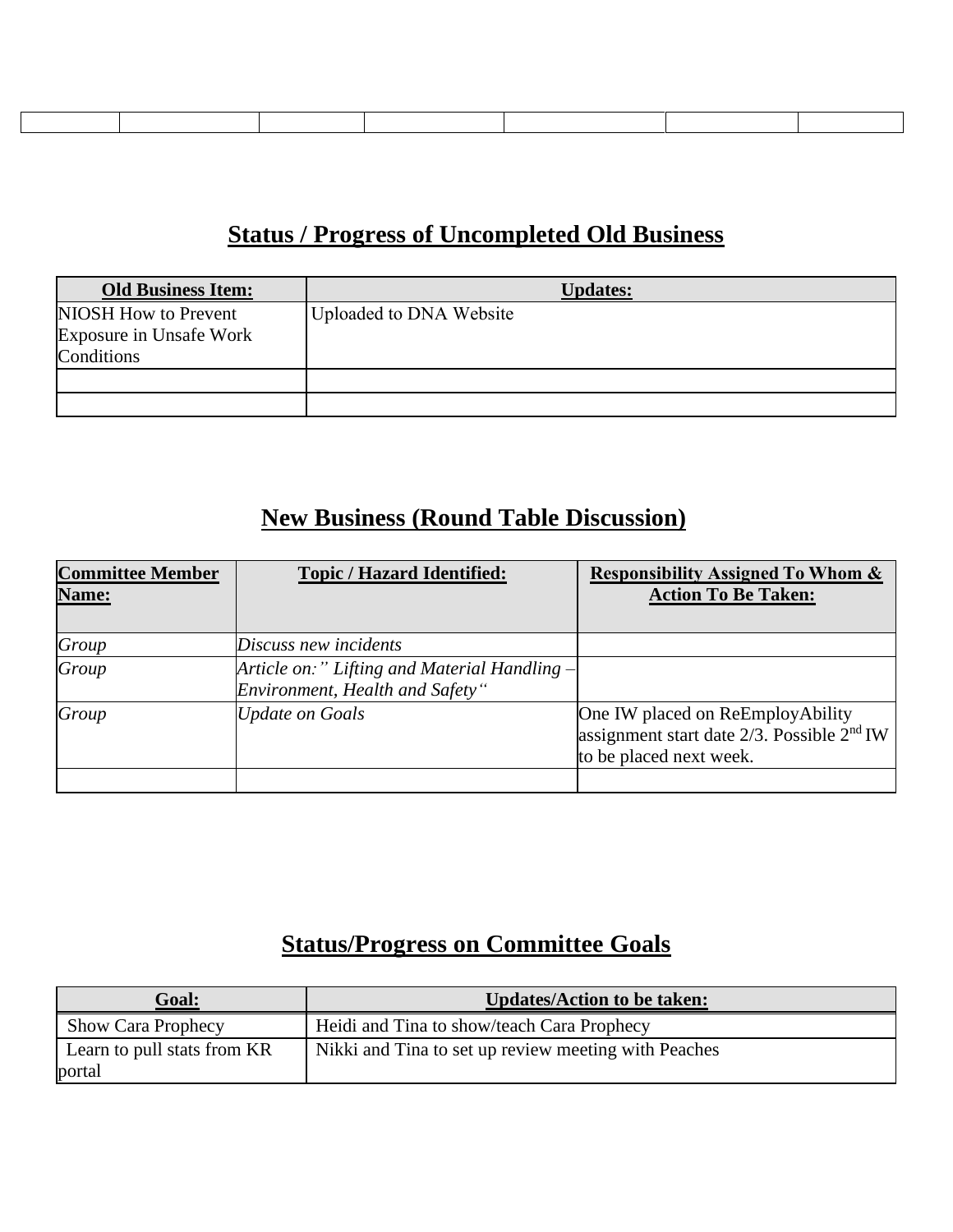#### **Status / Progress of Uncompleted Old Business**

| <b>Old Business Item:</b>                       | <b>Updates:</b>         |
|-------------------------------------------------|-------------------------|
| NIOSH How to Prevent<br>Exposure in Unsafe Work | Uploaded to DNA Website |
| Conditions                                      |                         |
|                                                 |                         |
|                                                 |                         |

# **New Business (Round Table Discussion)**

| <b>Committee Member</b><br>Name: | <b>Topic / Hazard Identified:</b>                                               | <b>Responsibility Assigned To Whom &amp;</b><br><b>Action To Be Taken:</b>                                     |
|----------------------------------|---------------------------------------------------------------------------------|----------------------------------------------------------------------------------------------------------------|
| Group                            | Discuss new incidents                                                           |                                                                                                                |
| Group                            | Article on:" Lifting and Material Handling -<br>Environment, Health and Safety" |                                                                                                                |
| Group                            | <b>Update on Goals</b>                                                          | One IW placed on ReEmployAbility<br>assignment start date $2/3$ . Possible $2nd$ IW<br>to be placed next week. |
|                                  |                                                                                 |                                                                                                                |

# **Status/Progress on Committee Goals**

| <u> Goal:</u>               | <b>Updates/Action to be taken:</b>                   |
|-----------------------------|------------------------------------------------------|
| <b>Show Cara Prophecy</b>   | Heidi and Tina to show/teach Cara Prophecy           |
| Learn to pull stats from KR | Nikki and Tina to set up review meeting with Peaches |
| portal                      |                                                      |